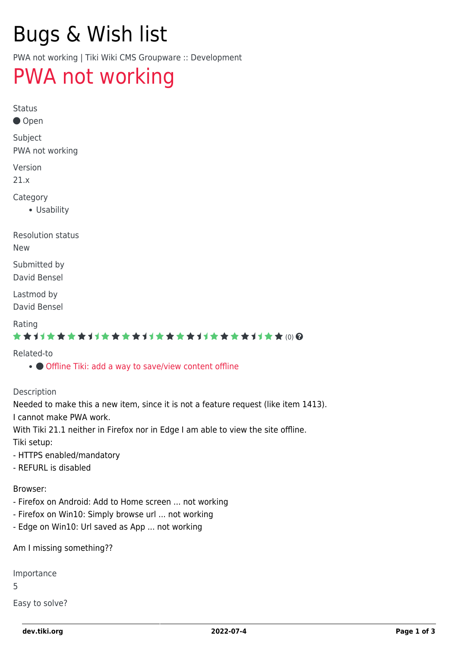# Bugs & Wish list

PWA not working | Tiki Wiki CMS Groupware :: Development

## [PWA not working](https://dev.tiki.org/item7424-PWA-not-working)

Status

● Open

Subject PWA not working

Version

21.x

Category

Usability

Resolution status

New

Submitted by David Bensel

Lastmod by David Bensel

### Rating

## ★★11★★★★11★★★★11★★★★11★★★★11★★ @@

### Related-to

• [Offline Tiki: add a way to save/view content offline](https://dev.tiki.org/item1413-Offline-Tiki-add-a-way-to-save-view-content-offline)

#### Description

Needed to make this a new item, since it is not a feature request (like item 1413). I cannot make PWA work.

With Tiki 21.1 neither in Firefox nor in Edge I am able to view the site offline. Tiki setup:

- HTTPS enabled/mandatory

- REFURL is disabled

Browser:

- Firefox on Android: Add to Home screen ... not working
- Firefox on Win10: Simply browse url ... not working
- Edge on Win10: Url saved as App ... not working

Am I missing something??

Importance

5

Easy to solve?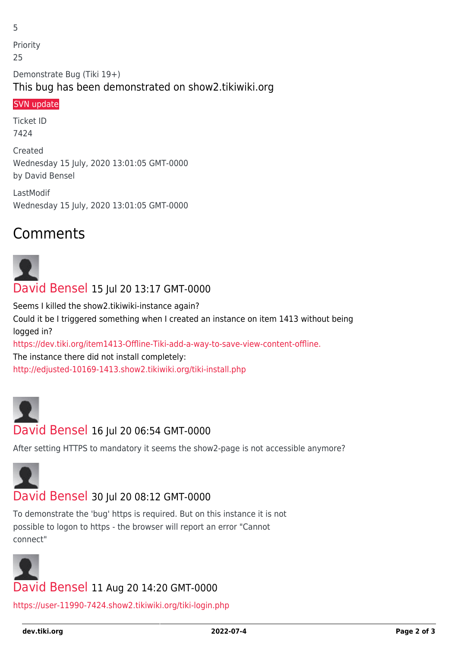Priority 25 Demonstrate Bug (Tiki 19+) This bug has been demonstrated on show2.tikiwiki.org

## [SVN update](#page--1-0)

5

Ticket ID 7424

Created Wednesday 15 July, 2020 13:01:05 GMT-0000 by David Bensel

LastModif Wednesday 15 July, 2020 13:01:05 GMT-0000

## Comments

# [David Bensel](https://dev.tiki.org/user11990) 15 Jul 20 13:17 GMT-0000

Seems I killed the show2.tikiwiki-instance again? Could it be I triggered something when I created an instance on item 1413 without being logged in?

<https://dev.tiki.org/item1413-Offline-Tiki-add-a-way-to-save-view-content-offline.>

The instance there did not install completely:

<http://edjusted-10169-1413.show2.tikiwiki.org/tiki-install.php>



## [David Bensel](https://dev.tiki.org/user11990) 16 Jul 20 06:54 GMT-0000

After setting HTTPS to mandatory it seems the show2-page is not accessible anymore?



## [David Bensel](https://dev.tiki.org/user11990) 30 Jul 20 08:12 GMT-0000

To demonstrate the 'bug' https is required. But on this instance it is not possible to logon to https - the browser will report an error "Cannot connect"



<https://user-11990-7424.show2.tikiwiki.org/tiki-login.php>